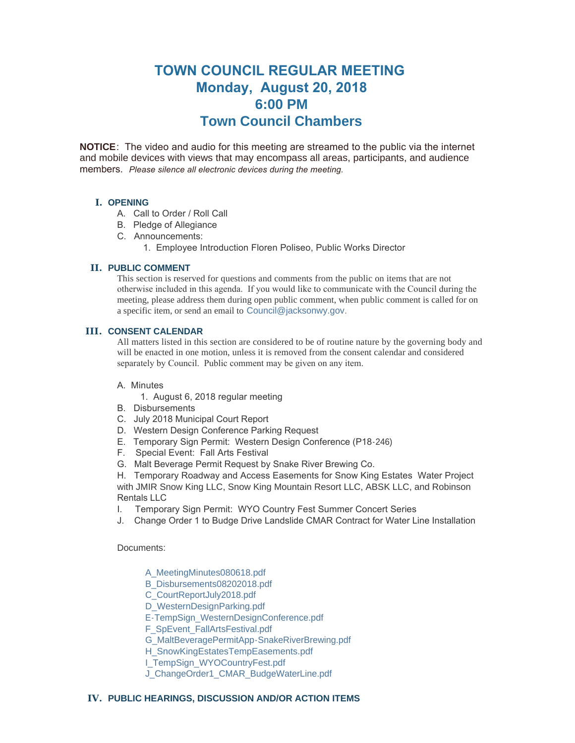# **TOWN COUNCIL REGULAR MEETING Monday, August 20, 2018 6:00 PM Town Council Chambers**

**NOTICE**: The video and audio for this meeting are streamed to the public via the internet and mobile devices with views that may encompass all areas, participants, and audience members. *Please silence all electronic devices during the meeting.* 

# **I. OPENING**

- A. Call to Order / Roll Call
- B. Pledge of Allegiance
- C. Announcements:
	- 1. Employee Introduction Floren Poliseo, Public Works Director

# **PUBLIC COMMENT II.**

This section is reserved for questions and comments from the public on items that are not otherwise included in this agenda. If you would like to communicate with the Council during the meeting, please address them during open public comment, when public comment is called for on a specific item, or send an email to [Council@jacksonwy.gov](mailto:).

## **CONSENT CALENDAR III.**

All matters listed in this section are considered to be of routine nature by the governing body and will be enacted in one motion, unless it is removed from the consent calendar and considered separately by Council. Public comment may be given on any item.

## A. Minutes

- 1. August 6, 2018 regular meeting
- B. Disbursements
- C. July 2018 Municipal Court Report
- D. Western Design Conference Parking Request
- E. Temporary Sign Permit: Western Design Conference (P18-246)
- F. Special Event: Fall Arts Festival
- G. Malt Beverage Permit Request by Snake River Brewing Co.
- H. Temporary Roadway and Access Easements for Snow King Estates Water Project with JMIR Snow King LLC, Snow King Mountain Resort LLC, ABSK LLC, and Robinson Rentals LLC
- I. Temporary Sign Permit: WYO Country Fest Summer Concert Series
- J. Change Order 1 to Budge Drive Landslide CMAR Contract for Water Line Installation

Documents:

- [A\\_MeetingMinutes080618.pdf](https://www.jacksonwy.gov/AgendaCenter/ViewFile/Item/1465?fileID=4006)
- [B\\_Disbursements08202018.pdf](https://www.jacksonwy.gov/AgendaCenter/ViewFile/Item/1465?fileID=4018)
- [C\\_CourtReportJuly2018.pdf](https://www.jacksonwy.gov/AgendaCenter/ViewFile/Item/1465?fileID=4008)
- [D\\_WesternDesignParking.pdf](https://www.jacksonwy.gov/AgendaCenter/ViewFile/Item/1465?fileID=4009)
- [E-TempSign\\_WesternDesignConference.pdf](https://www.jacksonwy.gov/AgendaCenter/ViewFile/Item/1465?fileID=4010)
- [F\\_SpEvent\\_FallArtsFestival.pdf](https://www.jacksonwy.gov/AgendaCenter/ViewFile/Item/1465?fileID=4003)
- [G\\_MaltBeveragePermitApp-SnakeRiverBrewing.pdf](https://www.jacksonwy.gov/AgendaCenter/ViewFile/Item/1465?fileID=4004)
- [H\\_SnowKingEstatesTempEasements.pdf](https://www.jacksonwy.gov/AgendaCenter/ViewFile/Item/1465?fileID=4005)
- [I\\_TempSign\\_WYOCountryFest.pdf](https://www.jacksonwy.gov/AgendaCenter/ViewFile/Item/1465?fileID=4019)
- [J\\_ChangeOrder1\\_CMAR\\_BudgeWaterLine.pdf](https://www.jacksonwy.gov/AgendaCenter/ViewFile/Item/1465?fileID=4020)

# **PUBLIC HEARINGS, DISCUSSION AND/OR ACTION ITEMS IV.**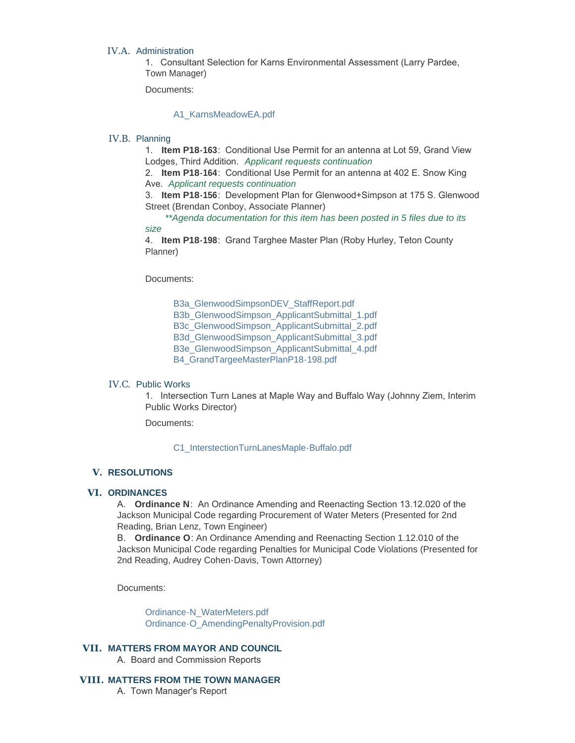#### IV.A. Administration

1. Consultant Selection for Karns Environmental Assessment (Larry Pardee, Town Manager)

Documents:

## [A1\\_KarnsMeadowEA.pdf](https://www.jacksonwy.gov/AgendaCenter/ViewFile/Item/1466?fileID=4011)

### IV.B. Planning

1. **Item P18-163**: Conditional Use Permit for an antenna at Lot 59, Grand View Lodges, Third Addition. *Applicant requests continuation* 

2. **Item P18-164**: Conditional Use Permit for an antenna at 402 E. Snow King Ave. *Applicant requests continuation*

3. **Item P18-156**: Development Plan for Glenwood+Simpson at 175 S. Glenwood Street (Brendan Conboy, Associate Planner)

*\*\*Agenda documentation for this item has been posted in 5 files due to its size*

4. **Item P18-198**: Grand Targhee Master Plan (Roby Hurley, Teton County Planner)

Documents:

[B3a\\_GlenwoodSimpsonDEV\\_StaffReport.pdf](https://www.jacksonwy.gov/AgendaCenter/ViewFile/Item/1468?fileID=4024) [B3b\\_GlenwoodSimpson\\_ApplicantSubmittal\\_1.pdf](https://www.jacksonwy.gov/AgendaCenter/ViewFile/Item/1468?fileID=4025) [B3c\\_GlenwoodSimpson\\_ApplicantSubmittal\\_2.pdf](https://www.jacksonwy.gov/AgendaCenter/ViewFile/Item/1468?fileID=4021) [B3d\\_GlenwoodSimpson\\_ApplicantSubmittal\\_3.pdf](https://www.jacksonwy.gov/AgendaCenter/ViewFile/Item/1468?fileID=4022) [B3e\\_GlenwoodSimpson\\_ApplicantSubmittal\\_4.pdf](https://www.jacksonwy.gov/AgendaCenter/ViewFile/Item/1468?fileID=4023) [B4\\_GrandTargeeMasterPlanP18-198.pdf](https://www.jacksonwy.gov/AgendaCenter/ViewFile/Item/1468?fileID=4013)

## IV.C. Public Works

1. Intersection Turn Lanes at Maple Way and Buffalo Way (Johnny Ziem, Interim Public Works Director)

Documents:

[C1\\_InterstectionTurnLanesMaple-Buffalo.pdf](https://www.jacksonwy.gov/AgendaCenter/ViewFile/Item/1469?fileID=4014)

## **RESOLUTIONS V.**

#### **ORDINANCES VI.**

A. **Ordinance N**: An Ordinance Amending and Reenacting Section 13.12.020 of the Jackson Municipal Code regarding Procurement of Water Meters (Presented for 2nd Reading, Brian Lenz, Town Engineer)

B. **Ordinance O**: An Ordinance Amending and Reenacting Section 1.12.010 of the Jackson Municipal Code regarding Penalties for Municipal Code Violations (Presented for 2nd Reading, Audrey Cohen-Davis, Town Attorney)

Documents:

[Ordinance-N\\_WaterMeters.pdf](https://www.jacksonwy.gov/AgendaCenter/ViewFile/Item/1436?fileID=4016) [Ordinance-O\\_AmendingPenaltyProvision.pdf](https://www.jacksonwy.gov/AgendaCenter/ViewFile/Item/1436?fileID=4015)

#### **MATTERS FROM MAYOR AND COUNCIL VII.**

A. Board and Commission Reports

#### **MATTERS FROM THE TOWN MANAGER VIII.**

A. Town Manager's Report